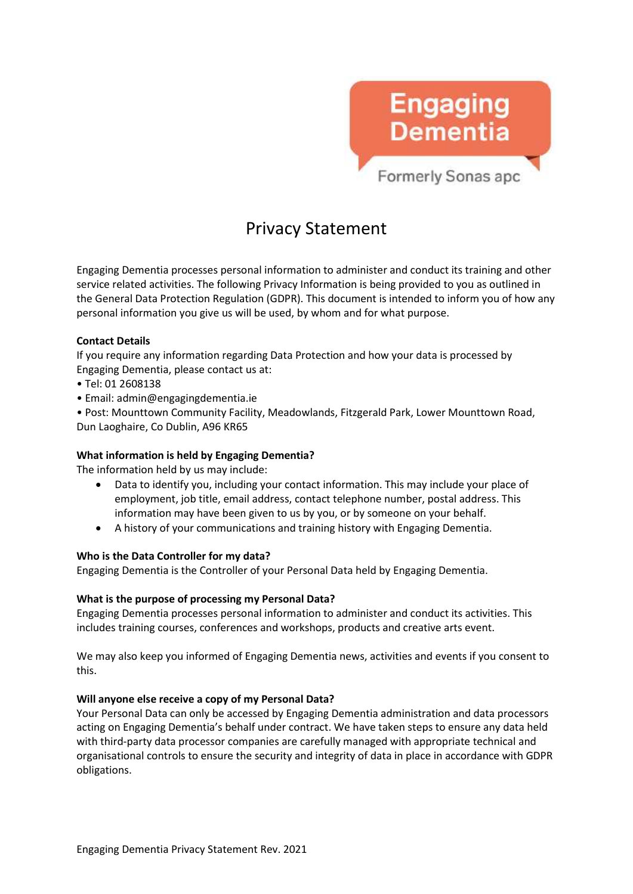# Engaging<br>Dementia

Formerly Sonas apc

# Privacy Statement

Engaging Dementia processes personal information to administer and conduct its training and other service related activities. The following Privacy Information is being provided to you as outlined in the General Data Protection Regulation (GDPR). This document is intended to inform you of how any personal information you give us will be used, by whom and for what purpose.

# Contact Details

If you require any information regarding Data Protection and how your data is processed by Engaging Dementia, please contact us at:

- Tel: 01 2608138
- Email: admin@engagingdementia.ie

• Post: Mounttown Community Facility, Meadowlands, Fitzgerald Park, Lower Mounttown Road, Dun Laoghaire, Co Dublin, A96 KR65

# What information is held by Engaging Dementia?

The information held by us may include:

- Data to identify you, including your contact information. This may include your place of employment, job title, email address, contact telephone number, postal address. This information may have been given to us by you, or by someone on your behalf.
- A history of your communications and training history with Engaging Dementia.

#### Who is the Data Controller for my data?

Engaging Dementia is the Controller of your Personal Data held by Engaging Dementia.

#### What is the purpose of processing my Personal Data?

Engaging Dementia processes personal information to administer and conduct its activities. This includes training courses, conferences and workshops, products and creative arts event.

We may also keep you informed of Engaging Dementia news, activities and events if you consent to this.

#### Will anyone else receive a copy of my Personal Data?

Your Personal Data can only be accessed by Engaging Dementia administration and data processors acting on Engaging Dementia's behalf under contract. We have taken steps to ensure any data held with third-party data processor companies are carefully managed with appropriate technical and organisational controls to ensure the security and integrity of data in place in accordance with GDPR obligations.